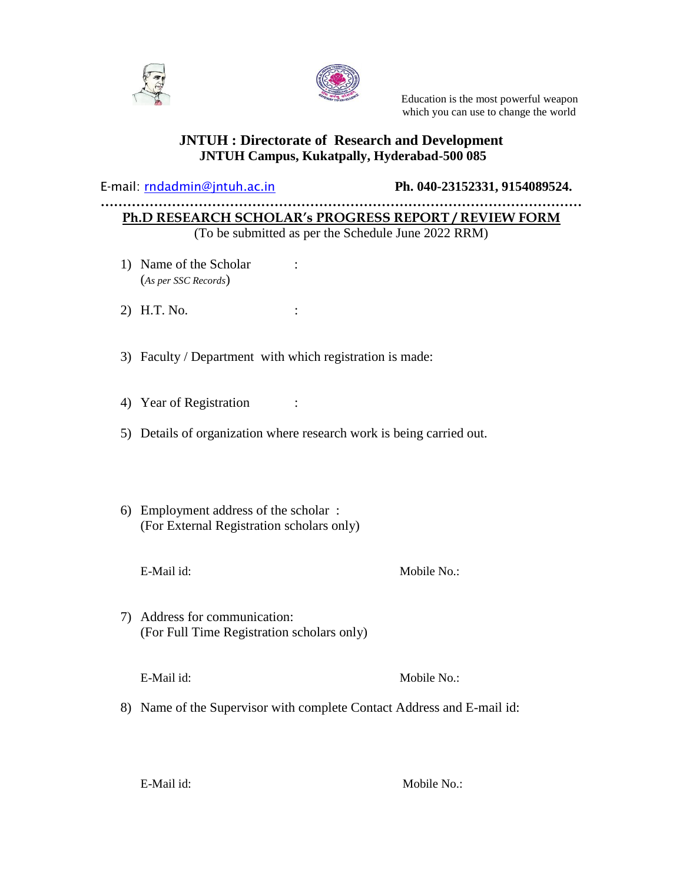



 Education is the most powerful weapon which you can use to change the world

### **JNTUH : Directorate of Research and Development JNTUH Campus, Kukatpally, Hyderabad-500 085**

E-mail: [rndadmin@jntuh.ac.in](mailto:rndadmin@jntuh.ac.in) **Ph. 040-23152331, 9154089524.**

#### **……………………………………………………………………………………………… Ph.D RESEARCH SCHOLAR's PROGRESS REPORT / REVIEW FORM** (To be submitted as per the Schedule June 2022 RRM)

- 1) Name of the Scholar : (*As per SSC Records*)
- 2) H.T. No. :
- 3) Faculty / Department with which registration is made:
- 4) Year of Registration :
- 5) Details of organization where research work is being carried out.
- 6) Employment address of the scholar : (For External Registration scholars only)
	-

E-Mail id: Mobile No.:

- 7) Address for communication: (For Full Time Registration scholars only)
	-

E-Mail id: Mobile No.:

8) Name of the Supervisor with complete Contact Address and E-mail id: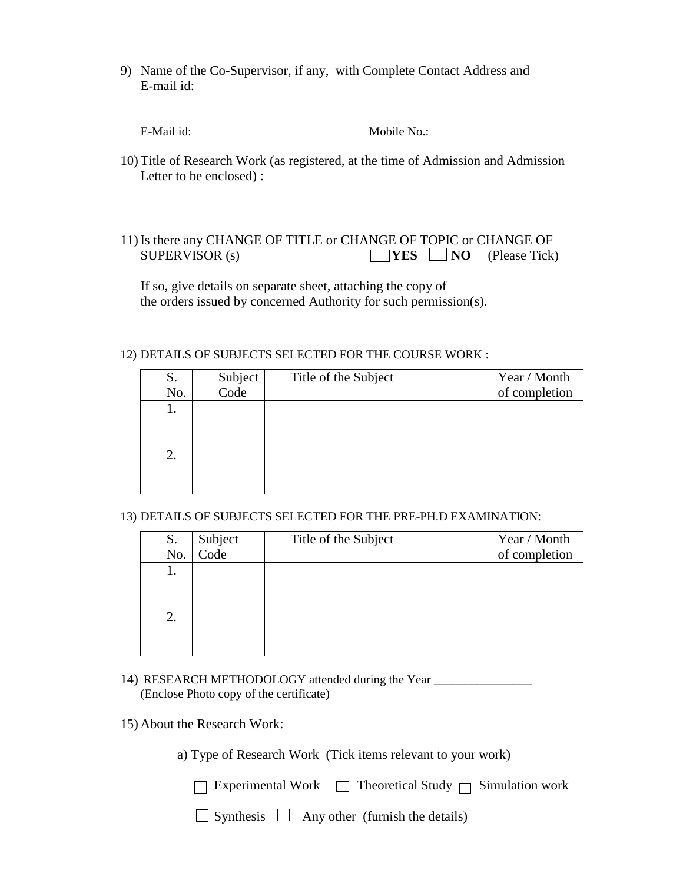9) Name of the Co-Supervisor, if any, with Complete Contact Address and E-mail id:

E-Mail id: Mobile No.:

- 10) Title of Research Work (as registered, at the time of Admission and Admission Letter to be enclosed) :
- 11) Is there any CHANGE OF TITLE or CHANGE OF TOPIC or CHANGE OF SUPERVISOR (s) **YES** NO (Please Tick)

 If so, give details on separate sheet, attaching the copy of the orders issued by concerned Authority for such permission(s).

#### 12) DETAILS OF SUBJECTS SELECTED FOR THE COURSE WORK :

| S.<br>No. | Subject<br>Code | Title of the Subject | Year / Month<br>of completion |
|-----------|-----------------|----------------------|-------------------------------|
| ı.        |                 |                      |                               |
| 2.        |                 |                      |                               |
|           |                 |                      |                               |

13) DETAILS OF SUBJECTS SELECTED FOR THE PRE-PH.D EXAMINATION:

| S.  | Subject<br>Code | Title of the Subject | Year / Month  |
|-----|-----------------|----------------------|---------------|
| No. |                 |                      | of completion |
|     |                 |                      |               |
|     |                 |                      |               |
|     |                 |                      |               |
| 2.  |                 |                      |               |
|     |                 |                      |               |
|     |                 |                      |               |

- 14) RESEARCH METHODOLOGY attended during the Year \_\_\_\_\_\_\_\_\_\_\_\_\_\_\_\_\_\_\_\_\_\_\_\_\_\_\_\_\_\_ (Enclose Photo copy of the certificate)
- 15) About the Research Work:
	- a) Type of Research Work (Tick items relevant to your work)

 $\Box$  Synthesis  $\Box$  Any other (furnish the details)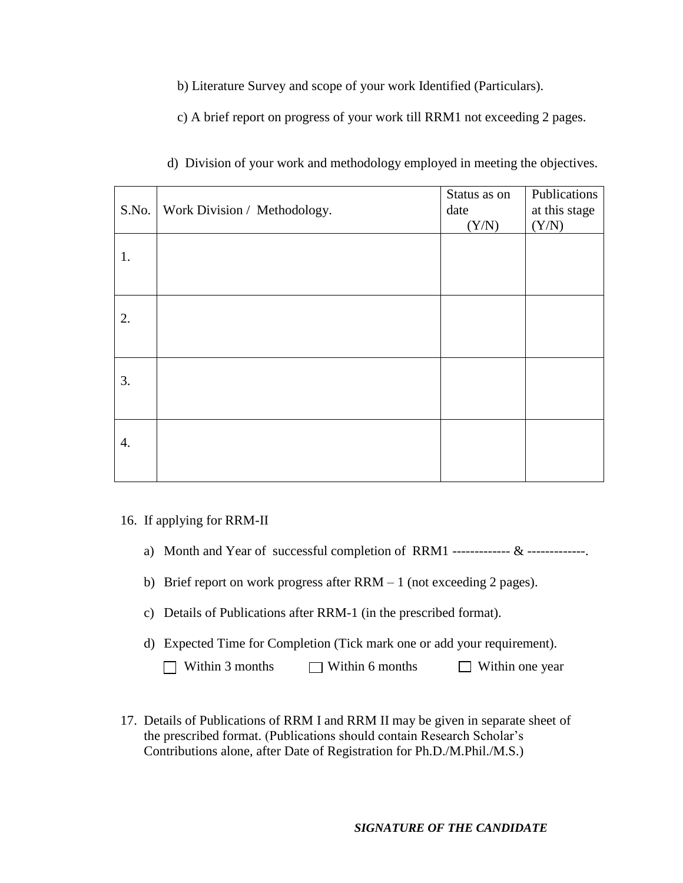b) Literature Survey and scope of your work Identified (Particulars).

c) A brief report on progress of your work till RRM1 not exceeding 2 pages.

| S.No. | Work Division / Methodology. | Status as on<br>date | Publications<br>at this stage |
|-------|------------------------------|----------------------|-------------------------------|
|       |                              | (Y/N)                | (Y/N)                         |
| 1.    |                              |                      |                               |
|       |                              |                      |                               |
| 2.    |                              |                      |                               |
|       |                              |                      |                               |
| 3.    |                              |                      |                               |
|       |                              |                      |                               |
| 4.    |                              |                      |                               |
|       |                              |                      |                               |

|  |  | d) Division of your work and methodology employed in meeting the objectives. |
|--|--|------------------------------------------------------------------------------|
|  |  |                                                                              |

#### 16. If applying for RRM-II

- a) Month and Year of successful completion of RRM1 -------------- & -------------.
- b) Brief report on work progress after RRM 1 (not exceeding 2 pages).
- c) Details of Publications after RRM-1 (in the prescribed format).
- d) Expected Time for Completion (Tick mark one or add your requirement).
	- $\Box$  Within 3 months  $\Box$  Within 6 months  $\Box$  Within one year
- 17. Details of Publications of RRM I and RRM II may be given in separate sheet of the prescribed format. (Publications should contain Research Scholar's Contributions alone, after Date of Registration for Ph.D./M.Phil./M.S.)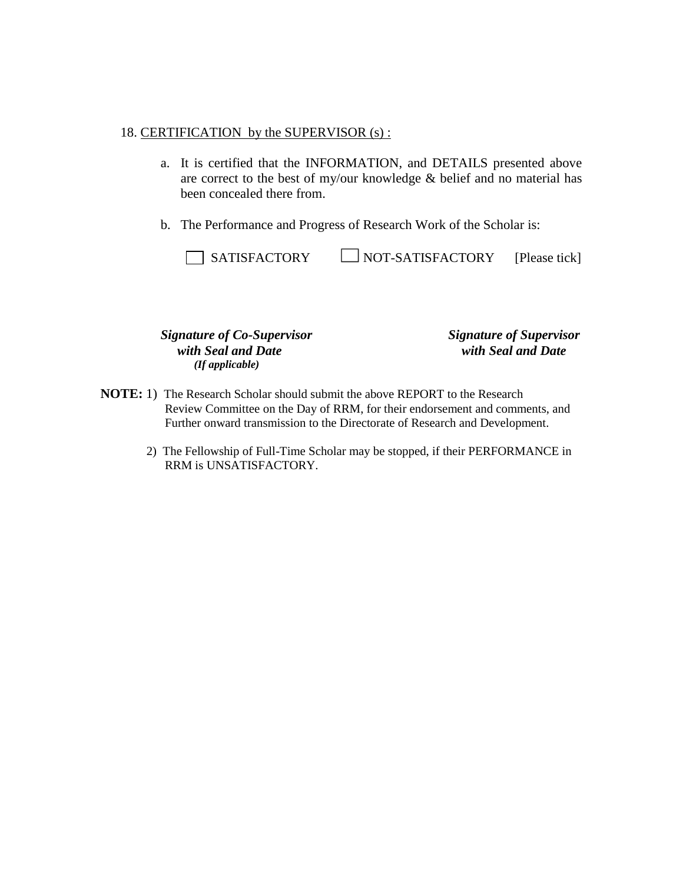#### 18. CERTIFICATION by the SUPERVISOR (s) :

- a. It is certified that the INFORMATION, and DETAILS presented above are correct to the best of my/our knowledge & belief and no material has been concealed there from.
- b. The Performance and Progress of Research Work of the Scholar is:

| SATISFACTORY | $\Box$ NOT-SATISFACTORY | [Please tick] |
|--------------|-------------------------|---------------|
|--------------|-------------------------|---------------|

 *Signature of Co-Supervisor Signature of Supervisor with Seal and Date with Seal and Date (If applicable)*

- **NOTE:** 1) The Research Scholar should submit the above REPORT to the Research Review Committee on the Day of RRM, for their endorsement and comments, and Further onward transmission to the Directorate of Research and Development.
	- 2) The Fellowship of Full-Time Scholar may be stopped, if their PERFORMANCE in RRM is UNSATISFACTORY.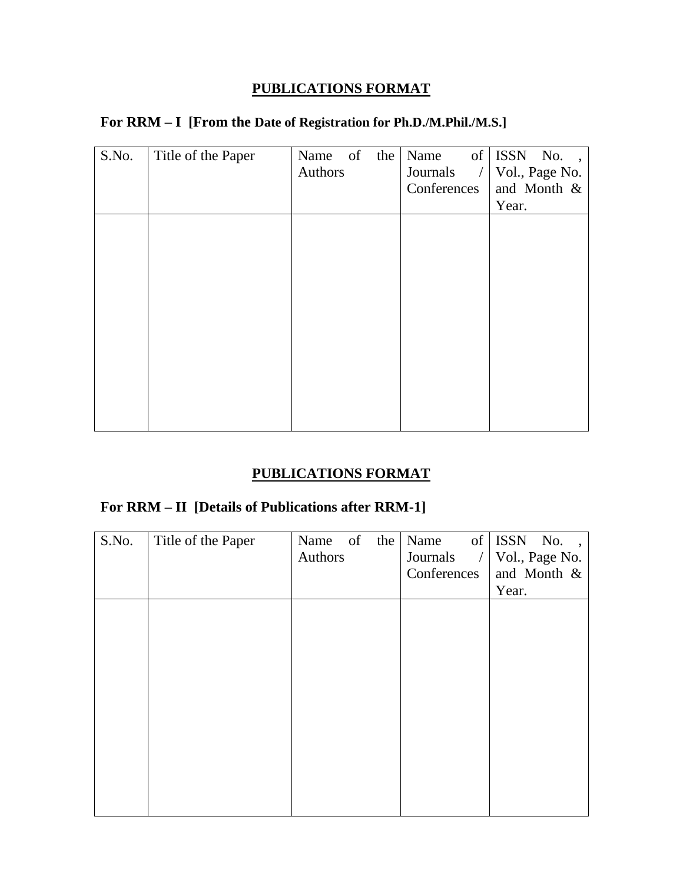## **PUBLICATIONS FORMAT**

|  |  |  | For RRM - I [From the Date of Registration for Ph.D./M.Phil./M.S.] |
|--|--|--|--------------------------------------------------------------------|
|--|--|--|--------------------------------------------------------------------|

| S.No. | Title of the Paper | Name of | the | Name                       | of ISSN No.,   |
|-------|--------------------|---------|-----|----------------------------|----------------|
|       |                    | Authors |     | Journals<br>$\overline{1}$ | Vol., Page No. |
|       |                    |         |     | Conferences                | and Month &    |
|       |                    |         |     |                            | Year.          |
|       |                    |         |     |                            |                |
|       |                    |         |     |                            |                |
|       |                    |         |     |                            |                |
|       |                    |         |     |                            |                |
|       |                    |         |     |                            |                |
|       |                    |         |     |                            |                |
|       |                    |         |     |                            |                |
|       |                    |         |     |                            |                |
|       |                    |         |     |                            |                |
|       |                    |         |     |                            |                |
|       |                    |         |     |                            |                |
|       |                    |         |     |                            |                |

## **PUBLICATIONS FORMAT**

# **For RRM – II [Details of Publications after RRM-1]**

| S.No. | Title of the Paper | Name of<br>Authors | the | Name<br>Journals<br>$\bigg)$<br>Conferences | of ISSN No.,<br>Vol., Page No.<br>and Month &<br>Year. |
|-------|--------------------|--------------------|-----|---------------------------------------------|--------------------------------------------------------|
|       |                    |                    |     |                                             |                                                        |
|       |                    |                    |     |                                             |                                                        |
|       |                    |                    |     |                                             |                                                        |
|       |                    |                    |     |                                             |                                                        |